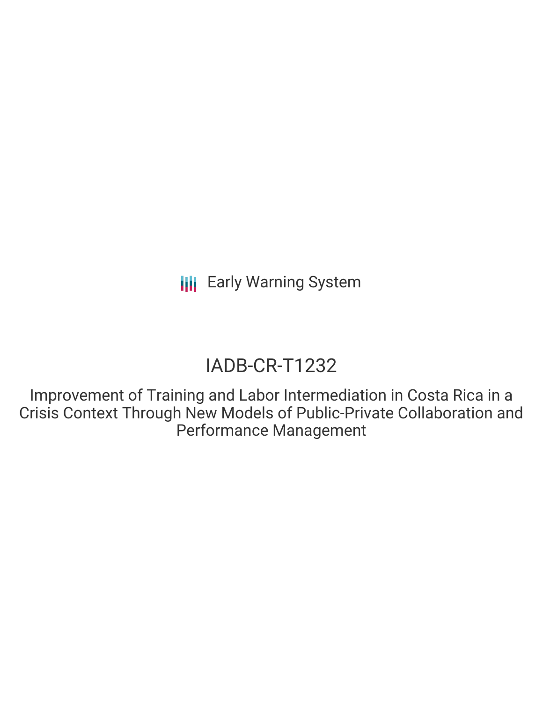# IADB-CR-T1232

Improvement of Training and Labor Intermediation in Costa Rica in a Crisis Context Through New Models of Public-Private Collaboration and Performance Management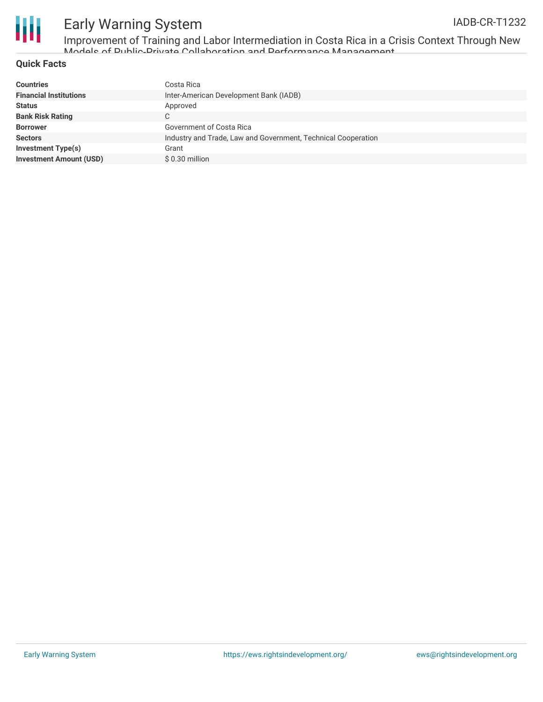

Improvement of Training and Labor Intermediation in Costa Rica in a Crisis Context Through New Models of Public-Private Collaboration and Performance Management

### **Quick Facts**

| <b>Countries</b>               | Costa Rica                                                    |
|--------------------------------|---------------------------------------------------------------|
| <b>Financial Institutions</b>  | Inter-American Development Bank (IADB)                        |
| <b>Status</b>                  | Approved                                                      |
| <b>Bank Risk Rating</b>        | С                                                             |
| <b>Borrower</b>                | Government of Costa Rica                                      |
| <b>Sectors</b>                 | Industry and Trade, Law and Government, Technical Cooperation |
| <b>Investment Type(s)</b>      | Grant                                                         |
| <b>Investment Amount (USD)</b> | \$0.30 million                                                |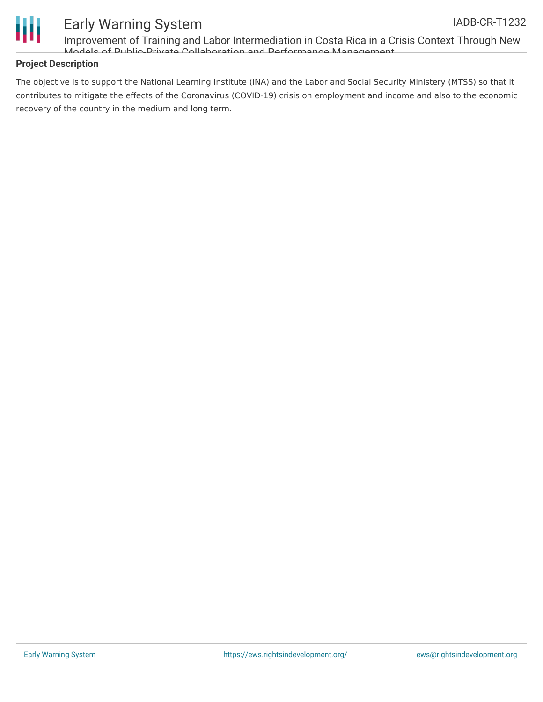

Improvement of Training and Labor Intermediation in Costa Rica in a Crisis Context Through New Models of Public-Private Collaboration and Performance Management

### **Project Description**

The objective is to support the National Learning Institute (INA) and the Labor and Social Security Ministery (MTSS) so that it contributes to mitigate the effects of the Coronavirus (COVID-19) crisis on employment and income and also to the economic recovery of the country in the medium and long term.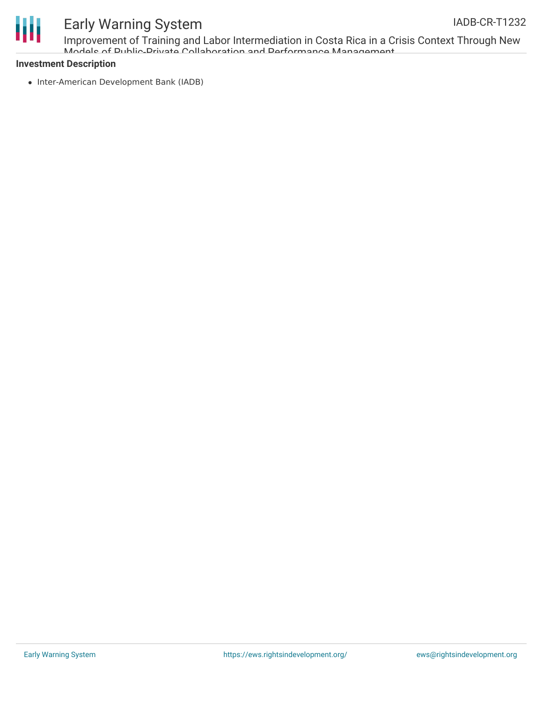

Improvement of Training and Labor Intermediation in Costa Rica in a Crisis Context Through New Models of Public-Private Collaboration and Performance Management

#### **Investment Description**

• Inter-American Development Bank (IADB)